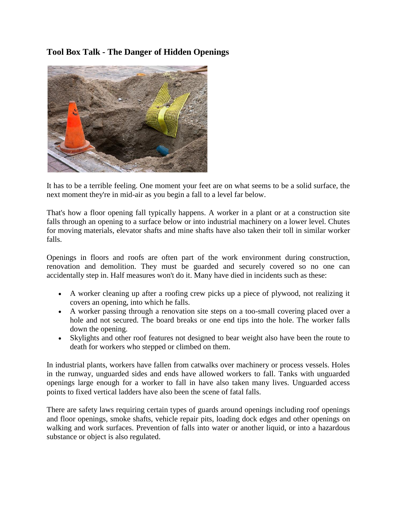## **Tool Box Talk - The Danger of Hidden Openings**



It has to be a terrible feeling. One moment your feet are on what seems to be a solid surface, the next moment they're in mid-air as you begin a fall to a level far below.

That's how a floor opening fall typically happens. A worker in a plant or at a construction site falls through an opening to a surface below or into industrial machinery on a lower level. Chutes for moving materials, elevator shafts and mine shafts have also taken their toll in similar worker falls.

Openings in floors and roofs are often part of the work environment during construction, renovation and demolition. They must be guarded and securely covered so no one can accidentally step in. Half measures won't do it. Many have died in incidents such as these:

- A worker cleaning up after a roofing crew picks up a piece of plywood, not realizing it covers an opening, into which he falls.
- A worker passing through a renovation site steps on a too-small covering placed over a hole and not secured. The board breaks or one end tips into the hole. The worker falls down the opening.
- Skylights and other roof features not designed to bear weight also have been the route to death for workers who stepped or climbed on them.

In industrial plants, workers have fallen from catwalks over machinery or process vessels. Holes in the runway, unguarded sides and ends have allowed workers to fall. Tanks with unguarded openings large enough for a worker to fall in have also taken many lives. Unguarded access points to fixed vertical ladders have also been the scene of fatal falls.

There are safety laws requiring certain types of guards around openings including roof openings and floor openings, smoke shafts, vehicle repair pits, loading dock edges and other openings on walking and work surfaces. Prevention of falls into water or another liquid, or into a hazardous substance or object is also regulated.